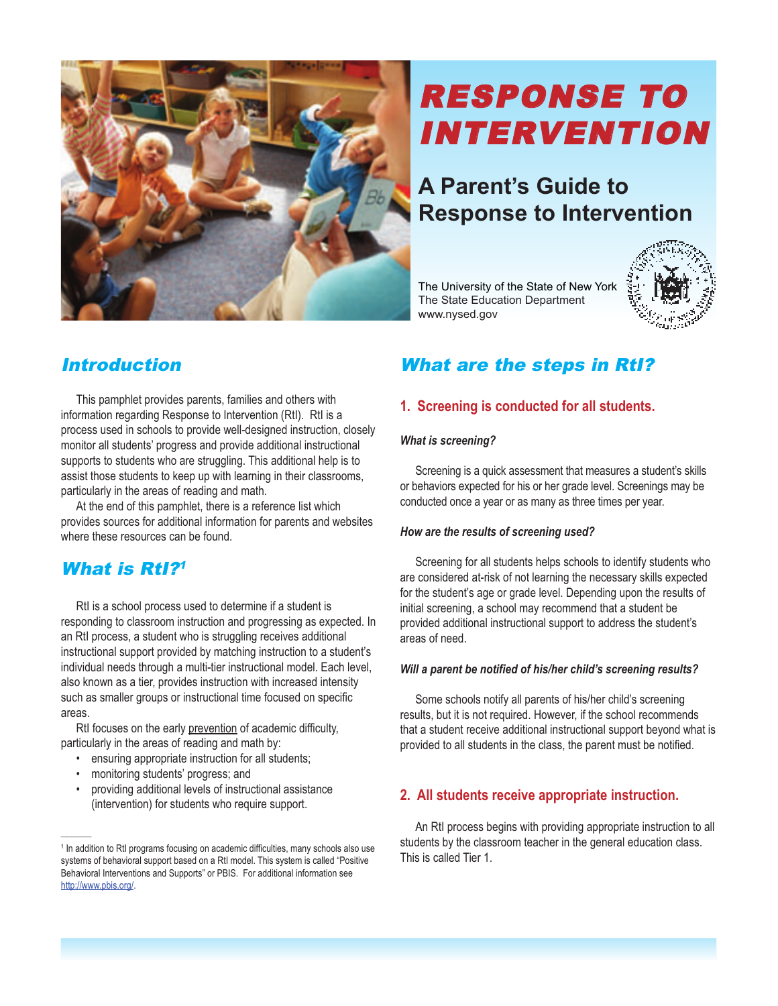

# RESPONSE TO INTERVENTION

## **A Parent's Guide to Response to Intervention**

The University of the State of New York The State Education Department www.nysed.gov



## Introduction

This pamphlet provides parents, families and others with information regarding Response to Intervention (RtI). RtI is a process used in schools to provide well-designed instruction, closely monitor all students' progress and provide additional instructional supports to students who are struggling. This additional help is to assist those students to keep up with learning in their classrooms, particularly in the areas of reading and math.

At the end of this pamphlet, there is a reference list which provides sources for additional information for parents and websites where these resources can be found.

## What is **RtI?<sup>1</sup>**

RtI is a school process used to determine if a student is responding to classroom instruction and progressing as expected. In an RtI process, a student who is struggling receives additional instructional support provided by matching instruction to a student's individual needs through a multi-tier instructional model. Each level, also known as a tier, provides instruction with increased intensity such as smaller groups or instructional time focused on specific areas.

RtI focuses on the early prevention of academic difficulty, particularly in the areas of reading and math by:

- ensuring appropriate instruction for all students;
- monitoring students' progress; and

 $\sim$ 

• providing additional levels of instructional assistance (intervention) for students who require support.

## What are the steps in RtI?

## **1. Screening is conducted for all students.**

#### *What is screening?*

Screening is a quick assessment that measures a student's skills or behaviors expected for his or her grade level. Screenings may be conducted once a year or as many as three times per year.

#### *How are the results of screening used?*

Screening for all students helps schools to identify students who are considered at-risk of not learning the necessary skills expected for the student's age or grade level. Depending upon the results of initial screening, a school may recommend that a student be provided additional instructional support to address the student's areas of need.

## *Will a parent be notified of his/her child's screening results?*

Some schools notify all parents of his/her child's screening results, but it is not required. However, if the school recommends that a student receive additional instructional support beyond what is provided to all students in the class, the parent must be notified.

## **2. All students receive appropriate instruction.**

An RtI process begins with providing appropriate instruction to all students by the classroom teacher in the general education class. This is called Tier 1.

<sup>&</sup>lt;sup>1</sup> In addition to RtI programs focusing on academic difficulties, many schools also use systems of behavioral support based on a RtI model. This system is called "Positive Behavioral Interventions and Supports" or PBIS. For additional information see http://www.pbis.org/.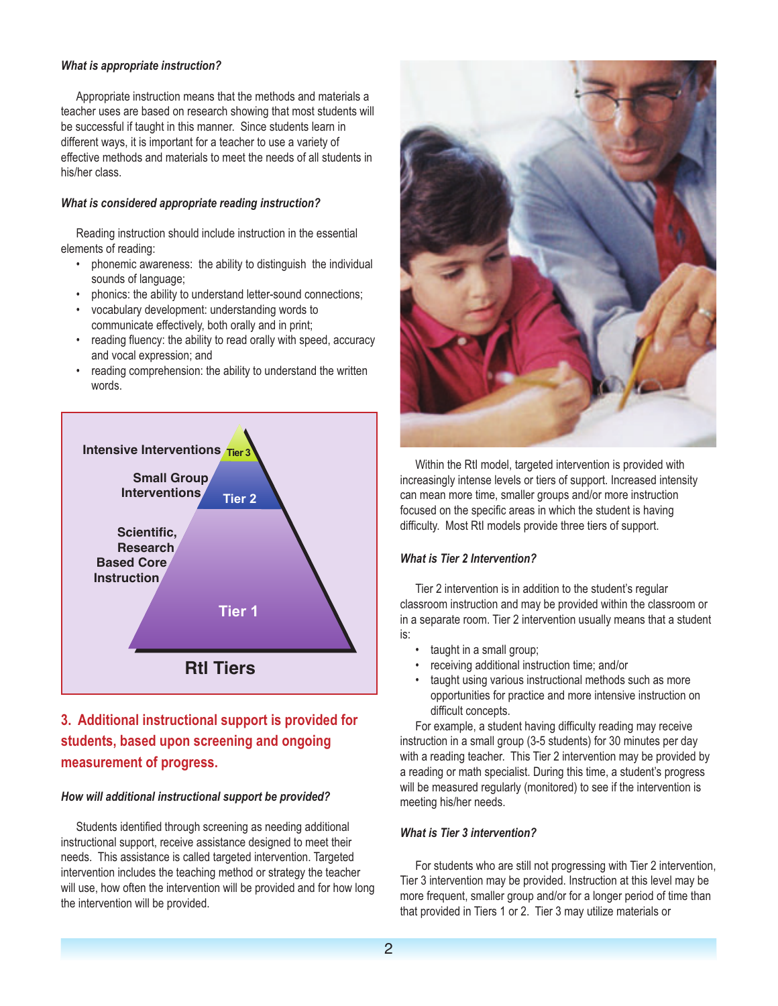## *What is appropriate instruction?*

Appropriate instruction means that the methods and materials a teacher uses are based on research showing that most students will be successful if taught in this manner. Since students learn in different ways, it is important for a teacher to use a variety of effective methods and materials to meet the needs of all students in his/her class.

#### *What is considered appropriate reading instruction?*

Reading instruction should include instruction in the essential elements of reading:

- phonemic awareness: the ability to distinguish the individual sounds of language;
- phonics: the ability to understand letter-sound connections;
- vocabulary development: understanding words to communicate effectively, both orally and in print;
- reading fluency: the ability to read orally with speed, accuracy and vocal expression; and
- reading comprehension: the ability to understand the written words.



## **3. Additional instructional support is provided for students, based upon screening and ongoing measurement of progress.**

#### *How will additional instructional support be provided?*

Students identified through screening as needing additional instructional support, receive assistance designed to meet their needs. This assistance is called targeted intervention. Targeted intervention includes the teaching method or strategy the teacher will use, how often the intervention will be provided and for how long the intervention will be provided.



Within the RtI model, targeted intervention is provided with increasingly intense levels or tiers of support. Increased intensity can mean more time, smaller groups and/or more instruction focused on the specific areas in which the student is having difficulty. Most RtI models provide three tiers of support.

#### *What is Tier 2 Intervention?*

Tier 2 intervention is in addition to the student's regular classroom instruction and may be provided within the classroom or in a separate room. Tier 2 intervention usually means that a student is:

- taught in a small group;
- receiving additional instruction time; and/or
- taught using various instructional methods such as more opportunities for practice and more intensive instruction on difficult concepts.

For example, a student having difficulty reading may receive instruction in a small group (3-5 students) for 30 minutes per day with a reading teacher. This Tier 2 intervention may be provided by a reading or math specialist. During this time, a student's progress will be measured regularly (monitored) to see if the intervention is meeting his/her needs.

#### *What is Tier 3 intervention?*

For students who are still not progressing with Tier 2 intervention, Tier 3 intervention may be provided. Instruction at this level may be more frequent, smaller group and/or for a longer period of time than that provided in Tiers 1 or 2. Tier 3 may utilize materials or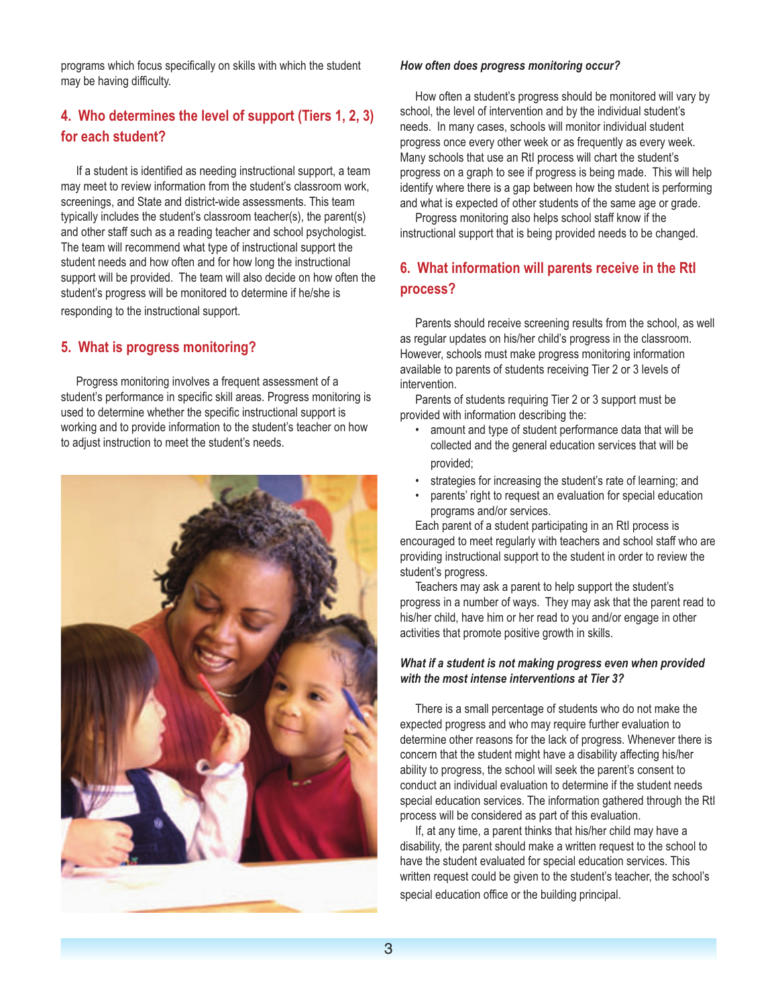programs which focus specifically on skills with which the student may be having difficulty.

## **4. Who determines the level of support (Tiers 1, 2, 3) for each student?**

If a student is identified as needing instructional support, a team may meet to review information from the student's classroom work, screenings, and State and district-wide assessments. This team typically includes the student's classroom teacher(s), the parent(s) and other staff such as a reading teacher and school psychologist. The team will recommend what type of instructional support the student needs and how often and for how long the instructional support will be provided. The team will also decide on how often the student's progress will be monitored to determine if he/she is responding to the instructional support.

## **5. What is progress monitoring?**

Progress monitoring involves a frequent assessment of a student's performance in specific skill areas. Progress monitoring is used to determine whether the specific instructional support is working and to provide information to the student's teacher on how to adjust instruction to meet the student's needs.



#### *How often does progress monitoring occur?*

How often a student's progress should be monitored will vary by school, the level of intervention and by the individual student's needs. In many cases, schools will monitor individual student progress once every other week or as frequently as every week. Many schools that use an RtI process will chart the student's progress on a graph to see if progress is being made. This will help identify where there is a gap between how the student is performing and what is expected of other students of the same age or grade.

Progress monitoring also helps school staff know if the instructional support that is being provided needs to be changed.

## **6. What information will parents receive in the RtI process?**

Parents should receive screening results from the school, as well as regular updates on his/her child's progress in the classroom. However, schools must make progress monitoring information available to parents of students receiving Tier 2 or 3 levels of intervention.

Parents of students requiring Tier 2 or 3 support must be provided with information describing the:

- amount and type of student performance data that will be collected and the general education services that will be provided;
- strategies for increasing the student's rate of learning; and
- parents' right to request an evaluation for special education programs and/or services.

Each parent of a student participating in an RtI process is encouraged to meet regularly with teachers and school staff who are providing instructional support to the student in order to review the student's progress.

Teachers may ask a parent to help support the student's progress in a number of ways. They may ask that the parent read to his/her child, have him or her read to you and/or engage in other activities that promote positive growth in skills.

## *What if a student is not making progress even when provided with the most intense interventions at Tier 3?*

There is a small percentage of students who do not make the expected progress and who may require further evaluation to determine other reasons for the lack of progress. Whenever there is concern that the student might have a disability affecting his/her ability to progress, the school will seek the parent's consent to conduct an individual evaluation to determine if the student needs special education services. The information gathered through the RtI process will be considered as part of this evaluation.

If, at any time, a parent thinks that his/her child may have a disability, the parent should make a written request to the school to have the student evaluated for special education services. This written request could be given to the student's teacher, the school's special education office or the building principal.